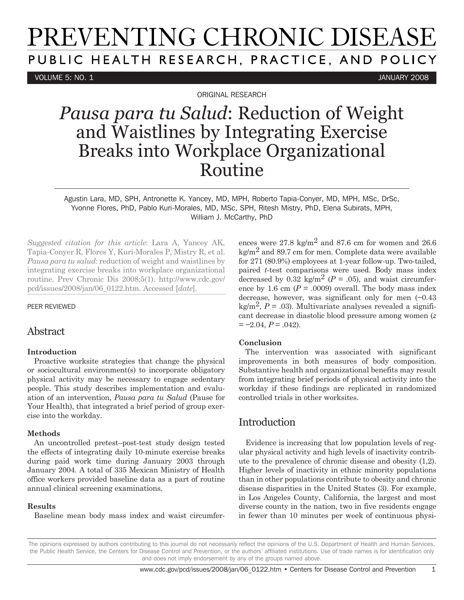# PREVENTING CHRONIC DISEASE PUBLIC HEALTH RESEARCH, PRACTICE, AND POLICY

VOLUME 5: NO. 1 JANUARY 2008

ORIGINAL RESEARCH

## *Pausa para tu Salud*: Reduction of Weight and Waistlines by Integrating Exercise Breaks into Workplace Organizational Routine

Agustin Lara, MD, SPH, Antronette K. Yancey, MD, MPH, Roberto Tapia-Conyer, MD, MPH, MSc, DrSc, Yvonne Flores, PhD, Pablo Kuri-Morales, MD, MSc, SPH, Ritesh Mistry, PhD, Elena Subirats, MPH, William J. McCarthy, PhD

*Suggested citation for this article*: Lara A, Yancey AK, Tapia-Conyer R, Flores Y, Kuri-Morales P, Mistry R, et al. *Pausa para tu salud*: reduction of weight and waistlines by integrating exercise breaks into workplace organizational routine. Prev Chronic Dis 2008;5(1). http://www.cdc.gov/ pcd/issues/2008/jan/06\_0122.htm. Accessed [*date*].

PEER REVIEWED

### Abstract

#### **Introduction**

Proactive worksite strategies that change the physical or sociocultural environment(s) to incorporate obligatory physical activity may be necessary to engage sedentary people. This study describes implementation and evaluation of an intervention, *Pausa para tu Salud* (Pause for Your Health), that integrated a brief period of group exercise into the workday.

#### **Methods**

An uncontrolled pretest–post-test study design tested the effects of integrating daily 10-minute exercise breaks during paid work time during January 2003 through January 2004. A total of 335 Mexican Ministry of Health office workers provided baseline data as a part of routine annual clinical screening examinations.

#### **Results**

Baseline mean body mass index and waist circumfer-

ences were  $27.8 \text{ kg/m}^2$  and  $87.6 \text{ cm}$  for women and  $26.6$  $k\alpha/m^2$  and 89.7 cm for men. Complete data were available for 271 (80.9%) employees at 1-year follow-up. Two-tailed, paired *t*-test comparisons were used. Body mass index decreased by 0.32 kg/m<sup>2</sup> ( $P = .05$ ), and waist circumference by 1.6 cm  $(P = .0009)$  overall. The body mass index decrease, however, was significant only for men (−0.43 kg/m<sup>2</sup>,  $P = .03$ ). Multivariate analyses revealed a significant decrease in diastolic blood pressure among women (*z = −*2.04, *P* = .042).

#### **Conclusion**

The intervention was associated with significant improvements in both measures of body composition. Substantive health and organizational benefits may result from integrating brief periods of physical activity into the workday if these findings are replicated in randomized controlled trials in other worksites.

## **Introduction**

Evidence is increasing that low population levels of regular physical activity and high levels of inactivity contribute to the prevalence of chronic disease and obesity (1,2). Higher levels of inactivity in ethnic minority populations than in other populations contribute to obesity and chronic disease disparities in the United States (3). For example, in Los Angeles County, California, the largest and most diverse county in the nation, two in five residents engage in fewer than 10 minutes per week of continuous physi-

The opinions expressed by authors contributing to this journal do not necessarily reflect the opinions of the U.S. Department of Health and Human Services, the Public Health Service, the Centers for Disease Control and Prevention, or the authors' affiliated institutions. Use of trade names is for identification only and does not imply endorsement by any of the groups named above.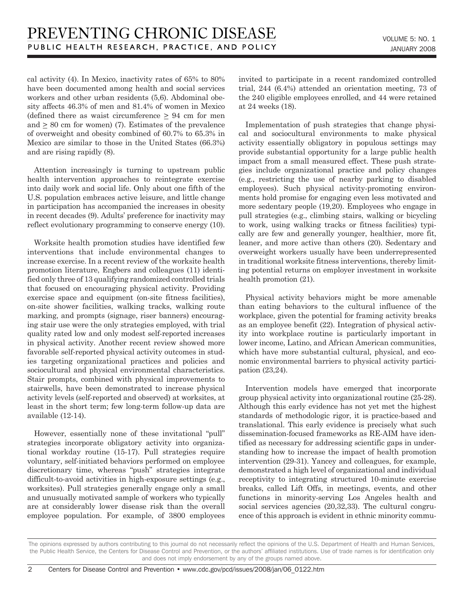cal activity (4). In Mexico, inactivity rates of 65% to 80% have been documented among health and social services workers and other urban residents (5,6). Abdominal obesity affects 46.3% of men and 81.4% of women in Mexico (defined there as waist circumference > 94 cm for men and  $\geq 80$  cm for women) (7). Estimates of the prevalence of overweight and obesity combined of 60.7% to 65.3% in Mexico are similar to those in the United States (66.3%) and are rising rapidly (8).

Attention increasingly is turning to upstream public health intervention approaches to reintegrate exercise into daily work and social life. Only about one fifth of the U.S. population embraces active leisure, and little change in participation has accompanied the increases in obesity in recent decades (9). Adults' preference for inactivity may reflect evolutionary programming to conserve energy (10).

Worksite health promotion studies have identified few interventions that include environmental changes to increase exercise. In a recent review of the worksite health promotion literature, Engbers and colleagues (11) identified only three of 13 qualifying randomized controlled trials that focused on encouraging physical activity. Providing exercise space and equipment (on-site fitness facilities), on-site shower facilities, walking tracks, walking route marking, and prompts (signage, riser banners) encouraging stair use were the only strategies employed, with trial quality rated low and only modest self-reported increases in physical activity. Another recent review showed more favorable self-reported physical activity outcomes in studies targeting organizational practices and policies and sociocultural and physical environmental characteristics. Stair prompts, combined with physical improvements to stairwells, have been demonstrated to increase physical activity levels (self-reported and observed) at worksites, at least in the short term; few long-term follow-up data are available (12-14).

However, essentially none of these invitational "pull" strategies incorporate obligatory activity into organizational workday routine (15-17). Pull strategies require voluntary, self-initiated behaviors performed on employee discretionary time, whereas "push" strategies integrate difficult-to-avoid activities in high-exposure settings (e.g., worksites). Pull strategies generally engage only a small and unusually motivated sample of workers who typically are at considerably lower disease risk than the overall employee population. For example, of 3800 employees invited to participate in a recent randomized controlled trial, 244 (6.4%) attended an orientation meeting, 73 of the 240 eligible employees enrolled, and 44 were retained at 24 weeks (18).

Implementation of push strategies that change physical and sociocultural environments to make physical activity essentially obligatory in populous settings may provide substantial opportunity for a large public health impact from a small measured effect. These push strategies include organizational practice and policy changes (e.g., restricting the use of nearby parking to disabled employees). Such physical activity-promoting environments hold promise for engaging even less motivated and more sedentary people (19,20). Employees who engage in pull strategies (e.g., climbing stairs, walking or bicycling to work, using walking tracks or fitness facilities) typically are few and generally younger, healthier, more fit, leaner, and more active than others (20). Sedentary and overweight workers usually have been underrepresented in traditional worksite fitness interventions, thereby limiting potential returns on employer investment in worksite health promotion (21).

Physical activity behaviors might be more amenable than eating behaviors to the cultural influence of the workplace, given the potential for framing activity breaks as an employee benefit (22). Integration of physical activity into workplace routine is particularly important in lower income, Latino, and African American communities, which have more substantial cultural, physical, and economic environmental barriers to physical activity participation (23,24).

Intervention models have emerged that incorporate group physical activity into organizational routine (25-28). Although this early evidence has not yet met the highest standards of methodologic rigor, it is practice-based and translational. This early evidence is precisely what such dissemination-focused frameworks as RE-AIM have identified as necessary for addressing scientific gaps in understanding how to increase the impact of health promotion intervention (29-31). Yancey and colleagues, for example, demonstrated a high level of organizational and individual receptivity to integrating structured 10-minute exercise breaks, called Lift Offs, in meetings, events, and other functions in minority-serving Los Angeles health and social services agencies (20,32,33). The cultural congruence of this approach is evident in ethnic minority commu-

The opinions expressed by authors contributing to this journal do not necessarily reflect the opinions of the U.S. Department of Health and Human Services, the Public Health Service, the Centers for Disease Control and Prevention, or the authors' affiliated institutions. Use of trade names is for identification only and does not imply endorsement by any of the groups named above.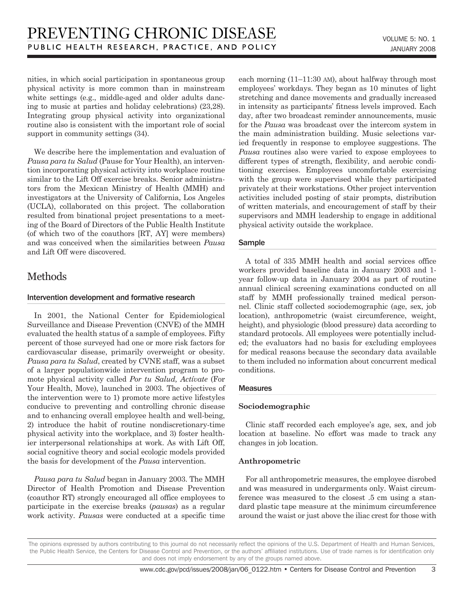nities, in which social participation in spontaneous group physical activity is more common than in mainstream white settings (e.g., middle-aged and older adults dancing to music at parties and holiday celebrations) (23,28). Integrating group physical activity into organizational routine also is consistent with the important role of social support in community settings (34).

We describe here the implementation and evaluation of *Pausa para tu Salud* (Pause for Your Health), an intervention incorporating physical activity into workplace routine similar to the Lift Off exercise breaks. Senior administrators from the Mexican Ministry of Health (MMH) and investigators at the University of California, Los Angeles (UCLA), collaborated on this project. The collaboration resulted from binational project presentations to a meeting of the Board of Directors of the Public Health Institute (of which two of the coauthors [RT, AY] were members) and was conceived when the similarities between *Pausa* and Lift Off were discovered.

## **Methods**

#### Intervention development and formative research

In 2001, the National Center for Epidemiological Surveillance and Disease Prevention (CNVE) of the MMH evaluated the health status of a sample of employees. Fifty percent of those surveyed had one or more risk factors for cardiovascular disease, primarily overweight or obesity. *Pausa para tu Salud*, created by CVNE staff, was a subset of a larger populationwide intervention program to promote physical activity called *Por tu Salud, Actívate* (For Your Health, Move), launched in 2003. The objectives of the intervention were to 1) promote more active lifestyles conducive to preventing and controlling chronic disease and to enhancing overall employee health and well-being, 2) introduce the habit of routine nondiscretionary-time physical activity into the workplace, and 3) foster healthier interpersonal relationships at work. As with Lift Off, social cognitive theory and social ecologic models provided the basis for development of the *Pausa* intervention.

*Pausa para tu Salud* began in January 2003. The MMH Director of Health Promotion and Disease Prevention (coauthor RT) strongly encouraged all office employees to participate in the exercise breaks (*pausas*) as a regular work activity. *Pausas* were conducted at a specific time each morning (11–11:30 am), about halfway through most employees' workdays. They began as 10 minutes of light stretching and dance movements and gradually increased in intensity as participants' fitness levels improved. Each day, after two broadcast reminder announcements, music for the *Pausa* was broadcast over the intercom system in the main administration building. Music selections varied frequently in response to employee suggestions. The *Pausa* routines also were varied to expose employees to different types of strength, flexibility, and aerobic conditioning exercises. Employees uncomfortable exercising with the group were supervised while they participated privately at their workstations. Other project intervention activities included posting of stair prompts, distribution of written materials, and encouragement of staff by their supervisors and MMH leadership to engage in additional physical activity outside the workplace.

#### Sample

A total of 335 MMH health and social services office workers provided baseline data in January 2003 and 1 year follow-up data in January 2004 as part of routine annual clinical screening examinations conducted on all staff by MMH professionally trained medical personnel. Clinic staff collected sociodemographic (age, sex, job location), anthropometric (waist circumference, weight, height), and physiologic (blood pressure) data according to standard protocols. All employees were potentially included; the evaluators had no basis for excluding employees for medical reasons because the secondary data available to them included no information about concurrent medical conditions.

#### **Measures**

#### **Sociodemographic**

Clinic staff recorded each employee's age, sex, and job location at baseline. No effort was made to track any changes in job location.

#### **Anthropometric**

For all anthropometric measures, the employee disrobed and was measured in undergarments only. Waist circumference was measured to the closest .5 cm using a standard plastic tape measure at the minimum circumference around the waist or just above the iliac crest for those with

The opinions expressed by authors contributing to this journal do not necessarily reflect the opinions of the U.S. Department of Health and Human Services, the Public Health Service, the Centers for Disease Control and Prevention, or the authors' affiliated institutions. Use of trade names is for identification only and does not imply endorsement by any of the groups named above.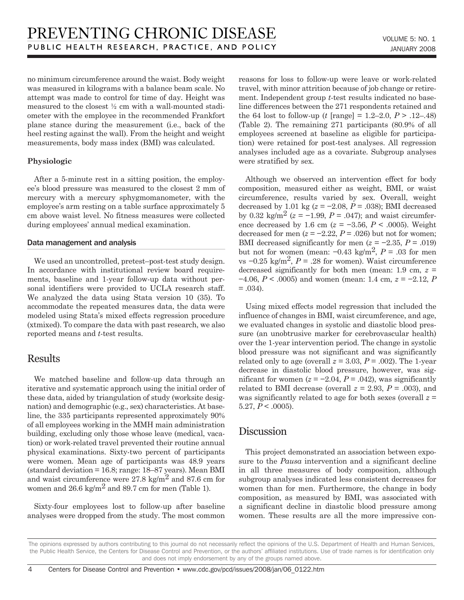no minimum circumference around the waist. Body weight was measured in kilograms with a balance beam scale. No attempt was made to control for time of day. Height was measured to the closest ½ cm with a wall-mounted stadiometer with the employee in the recommended Frankfort plane stance during the measurement (i.e., back of the heel resting against the wall). From the height and weight measurements, body mass index (BMI) was calculated.

#### **Physiologic**

After a 5-minute rest in a sitting position, the employee's blood pressure was measured to the closest 2 mm of mercury with a mercury sphygmomanometer, with the employee's arm resting on a table surface approximately 5 cm above waist level. No fitness measures were collected during employees' annual medical examination.

#### Data management and analysis

We used an uncontrolled, pretest–post-test study design. In accordance with institutional review board requirements, baseline and 1-year follow-up data without personal identifiers were provided to UCLA research staff. We analyzed the data using Stata version 10 (35). To accommodate the repeated measures data, the data were modeled using Stata's mixed effects regression procedure (xtmixed). To compare the data with past research, we also reported means and *t*-test results.

## Results

We matched baseline and follow-up data through an iterative and systematic approach using the initial order of these data, aided by triangulation of study (worksite designation) and demographic (e.g., sex) characteristics. At baseline, the 335 participants represented approximately 90% of all employees working in the MMH main administration building, excluding only those whose leave (medical, vacation) or work-related travel prevented their routine annual physical examinations. Sixty-two percent of participants were women. Mean age of participants was 48.9 years (standard deviation = 16.8; range: 18–87 years). Mean BMI and waist circumference were  $27.8 \text{ kg/m}^2$  and  $87.6 \text{ cm}$  for women and  $26.6 \text{ kg/m}^2$  and  $89.7 \text{ cm}$  for men (Table 1).

Sixty-four employees lost to follow-up after baseline analyses were dropped from the study. The most common reasons for loss to follow-up were leave or work-related travel, with minor attrition because of job change or retirement. Independent group *t*-test results indicated no baseline differences between the 271 respondents retained and the 64 lost to follow-up (*t* [range] = 1.2–2.0,  $P > 0.12-0.48$ ) (Table 2). The remaining 271 participants (80.9% of all employees screened at baseline as eligible for participation) were retained for post-test analyses. All regression analyses included age as a covariate. Subgroup analyses were stratified by sex.

Although we observed an intervention effect for body composition, measured either as weight, BMI, or waist circumference, results varied by sex. Overall, weight decreased by 1.01 kg ( $z = -2.08$ ,  $P = .038$ ); BMI decreased by 0.32 kg/m<sup>2</sup> ( $z = -1.99$ ,  $P = .047$ ); and waist circumference decreased by 1.6 cm (*z* = −3.56, *P* < .0005). Weight decreased for men  $(z = -2.22, P = .026)$  but not for women; BMI decreased significantly for men  $(z = -2.35, P = .019)$ but not for women (mean:  $-0.43 \text{ kg/m}^2$ ,  $P = .03$  for men vs  $-0.25$  kg/m<sup>2</sup>,  $P = .28$  for women). Waist circumference decreased significantly for both men (mean: 1.9 cm, *z* = −4.06, *P* < .0005) and women (mean: 1.4 cm, *z* = −2.12, *P*  $= .034$ ).

Using mixed effects model regression that included the influence of changes in BMI, waist circumference, and age, we evaluated changes in systolic and diastolic blood pressure (an unobtrusive marker for cerebrovascular health) over the 1-year intervention period. The change in systolic blood pressure was not significant and was significantly related only to age (overall  $z = 3.03$ ,  $P = .002$ ). The 1-year decrease in diastolic blood pressure, however, was significant for women  $(z = -2.04, P = .042)$ , was significantly related to BMI decrease (overall  $z = 2.93$ ,  $P = .003$ ), and was significantly related to age for both sexes (overall *z* = 5.27,  $P < .0005$ ).

## Discussion

This project demonstrated an association between exposure to the *Pausa* intervention and a significant decline in all three measures of body composition, although subgroup analyses indicated less consistent decreases for women than for men. Furthermore, the change in body composition, as measured by BMI, was associated with a significant decline in diastolic blood pressure among women. These results are all the more impressive con-

The opinions expressed by authors contributing to this journal do not necessarily reflect the opinions of the U.S. Department of Health and Human Services, the Public Health Service, the Centers for Disease Control and Prevention, or the authors' affiliated institutions. Use of trade names is for identification only and does not imply endorsement by any of the groups named above.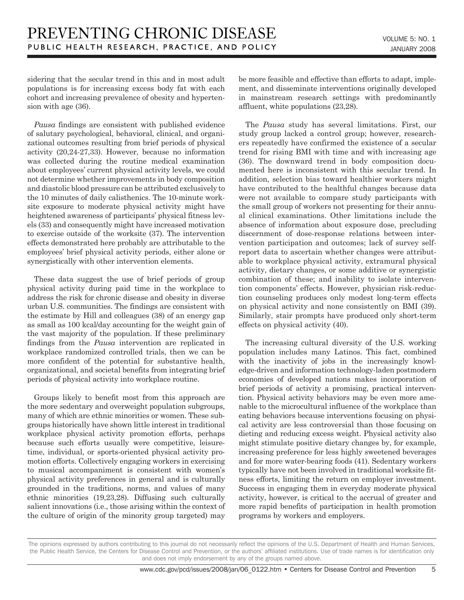sidering that the secular trend in this and in most adult populations is for increasing excess body fat with each cohort and increasing prevalence of obesity and hypertension with age (36).

*Pausa* findings are consistent with published evidence of salutary psychological, behavioral, clinical, and organizational outcomes resulting from brief periods of physical activity (20,24-27,33). However, because no information was collected during the routine medical examination about employees' current physical activity levels, we could not determine whether improvements in body composition and diastolic blood pressure can be attributed exclusively to the 10 minutes of daily calisthenics. The 10-minute worksite exposure to moderate physical activity might have heightened awareness of participants' physical fitness levels (33) and consequently might have increased motivation to exercise outside of the worksite (37). The intervention effects demonstrated here probably are attributable to the employees' brief physical activity periods, either alone or synergistically with other intervention elements.

These data suggest the use of brief periods of group physical activity during paid time in the workplace to address the risk for chronic disease and obesity in diverse urban U.S. communities. The findings are consistent with the estimate by Hill and colleagues (38) of an energy gap as small as 100 kcal/day accounting for the weight gain of the vast majority of the population. If these preliminary findings from the *Pausa* intervention are replicated in workplace randomized controlled trials, then we can be more confident of the potential for substantive health, organizational, and societal benefits from integrating brief periods of physical activity into workplace routine.

Groups likely to benefit most from this approach are the more sedentary and overweight population subgroups, many of which are ethnic minorities or women. These subgroups historically have shown little interest in traditional workplace physical activity promotion efforts, perhaps because such efforts usually were competitive, leisuretime, individual, or sports-oriented physical activity promotion efforts. Collectively engaging workers in exercising to musical accompaniment is consistent with women's physical activity preferences in general and is culturally grounded in the traditions, norms, and values of many ethnic minorities (19,23,28). Diffusing such culturally salient innovations (i.e., those arising within the context of the culture of origin of the minority group targeted) may be more feasible and effective than efforts to adapt, implement, and disseminate interventions originally developed in mainstream research settings with predominantly affluent, white populations (23,28).

The *Pausa* study has several limitations. First, our study group lacked a control group; however, researchers repeatedly have confirmed the existence of a secular trend for rising BMI with time and with increasing age (36). The downward trend in body composition documented here is inconsistent with this secular trend. In addition, selection bias toward healthier workers might have contributed to the healthful changes because data were not available to compare study participants with the small group of workers not presenting for their annual clinical examinations. Other limitations include the absence of information about exposure dose, precluding discernment of dose-response relations between intervention participation and outcomes; lack of survey selfreport data to ascertain whether changes were attributable to workplace physical activity, extramural physical activity, dietary changes, or some additive or synergistic combination of these; and inability to isolate intervention components' effects. However, physician risk-reduction counseling produces only modest long-term effects on physical activity and none consistently on BMI (39). Similarly, stair prompts have produced only short-term effects on physical activity (40).

The increasing cultural diversity of the U.S. working population includes many Latinos. This fact, combined with the inactivity of jobs in the increasingly knowledge-driven and information technology-laden postmodern economies of developed nations makes incorporation of brief periods of activity a promising, practical intervention. Physical activity behaviors may be even more amenable to the microcultural influence of the workplace than eating behaviors because interventions focusing on physical activity are less controversial than those focusing on dieting and reducing excess weight. Physical activity also might stimulate positive dietary changes by, for example, increasing preference for less highly sweetened beverages and for more water-bearing foods (41). Sedentary workers typically have not been involved in traditional worksite fitness efforts, limiting the return on employer investment. Success in engaging them in everyday moderate physical activity, however, is critical to the accrual of greater and more rapid benefits of participation in health promotion programs by workers and employers.

The opinions expressed by authors contributing to this journal do not necessarily reflect the opinions of the U.S. Department of Health and Human Services, the Public Health Service, the Centers for Disease Control and Prevention, or the authors' affiliated institutions. Use of trade names is for identification only and does not imply endorsement by any of the groups named above.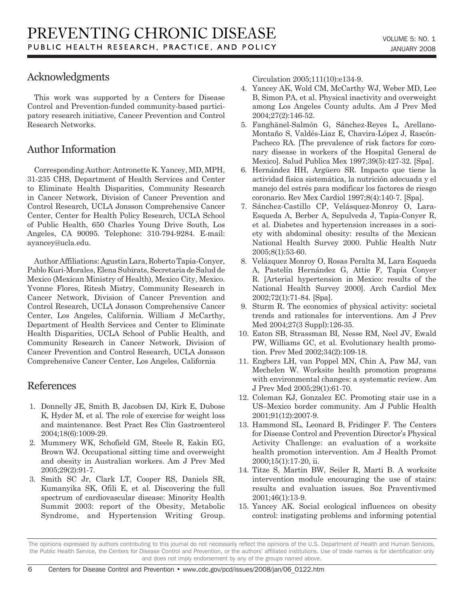## Acknowledgments

This work was supported by a Centers for Disease Control and Prevention-funded community-based participatory research initiative, Cancer Prevention and Control Research Networks.

## Author Information

Corresponding Author: Antronette K. Yancey, MD, MPH, 31-235 CHS, Department of Health Services and Center to Eliminate Health Disparities, Community Research in Cancer Network, Division of Cancer Prevention and Control Research, UCLA Jonsson Comprehensive Cancer Center, Center for Health Policy Research, UCLA School of Public Health, 650 Charles Young Drive South, Los Angeles, CA 90095. Telephone: 310-794-9284. E-mail: ayancey@ucla.edu.

Author Affiliations: Agustin Lara, Roberto Tapia-Conyer, Pablo Kuri-Morales, Elena Subirats, Secretaria de Salud de Mexico (Mexican Ministry of Health), Mexico City, Mexico. Yvonne Flores, Ritesh Mistry, Community Research in Cancer Network, Division of Cancer Prevention and Control Research, UCLA Jonsson Comprehensive Cancer Center, Los Angeles, California. William J McCarthy, Department of Health Services and Center to Eliminate Health Disparities, UCLA School of Public Health, and Community Research in Cancer Network, Division of Cancer Prevention and Control Research, UCLA Jonsson Comprehensive Cancer Center, Los Angeles, California

## References

- 1. Donnelly JE, Smith B, Jacobsen DJ, Kirk E, Dubose K, Hyder M, et al. The role of exercise for weight loss and maintenance. Best Pract Res Clin Gastroenterol 2004;18(6):1009-29.
- 2. Mummery WK, Schofield GM, Steele R, Eakin EG, Brown WJ. Occupational sitting time and overweight and obesity in Australian workers. Am J Prev Med 2005;29(2):91-7.
- 3. Smith SC Jr, Clark LT, Cooper RS, Daniels SR, Kumanyika SK, Ofili E, et al. Discovering the full spectrum of cardiovascular disease: Minority Health Summit 2003: report of the Obesity, Metabolic Syndrome, and Hypertension Writing Group.

Circulation 2005;111(10):e134-9.

- 4. Yancey AK, Wold CM, McCarthy WJ, Weber MD, Lee B, Simon PA, et al. Physical inactivity and overweight among Los Angeles County adults. Am J Prev Med 2004;27(2):146-52.
- 5. Fanghänel-Salmón G, Sánchez-Reyes L, Arellano-Montaño S, Valdés-Liaz E, Chavira-López J, Rascón-Pacheco RA. [The prevalence of risk factors for coronary disease in workers of the Hospital General de Mexico]. Salud Publica Mex 1997;39(5):427-32. [Spa].
- 6. Hernández HH, Argüero SR. Impacto que tiene la actividad física sistemática, la nutrición adecuada y el manejo del estrés para modificar los factores de riesgo coronario. Rev Mex Cardiol 1997;8(4):140-7. [Spa].
- 7. Sánchez-Castillo CP, Velásquez-Monroy O, Lara-Esqueda A, Berber A, Sepulveda J, Tapia-Conyer R, et al. Diabetes and hypertension increases in a society with abdominal obesity: results of the Mexican National Health Survey 2000. Public Health Nutr 2005;8(1):53-60.
- 8. Velázquez Monroy O, Rosas Peralta M, Lara Esqueda A, Pastelín Hernández G, Attie F, Tapia Conyer R. [Arterial hypertension in Mexico: results of the National Health Survey 2000]. Arch Cardiol Mex 2002;72(1):71-84. [Spa].
- 9. Sturm R. The economics of physical activity: societal trends and rationales for interventions. Am J Prev Med 2004;27(3 Suppl):126-35.
- 10. Eaton SB, Strassman BI, Nesse RM, Neel JV, Ewald PW, Williams GC, et al. Evolutionary health promotion. Prev Med 2002;34(2):109-18.
- 11. Engbers LH, van Poppel MN, Chin A, Paw MJ, van Mechelen W. Worksite health promotion programs with environmental changes: a systematic review. Am J Prev Med 2005;29(1):61-70.
- 12. Coleman KJ, Gonzalez EC. Promoting stair use in a US–Mexico border community. Am J Public Health 2001;91(12):2007-9.
- 13. Hammond SL, Leonard B, Fridinger F. The Centers for Disease Control and Prevention Director's Physical Activity Challenge: an evaluation of a worksite health promotion intervention. Am J Health Promot 2000;15(1):17-20, ii.
- 14. Titze S, Martin BW, Seiler R, Marti B. A worksite intervention module encouraging the use of stairs: results and evaluation issues. Soz Praventivmed 2001;46(1):13-9.
- 15. Yancey AK. Social ecological influences on obesity control: instigating problems and informing potential

The opinions expressed by authors contributing to this journal do not necessarily reflect the opinions of the U.S. Department of Health and Human Services, the Public Health Service, the Centers for Disease Control and Prevention, or the authors' affiliated institutions. Use of trade names is for identification only and does not imply endorsement by any of the groups named above.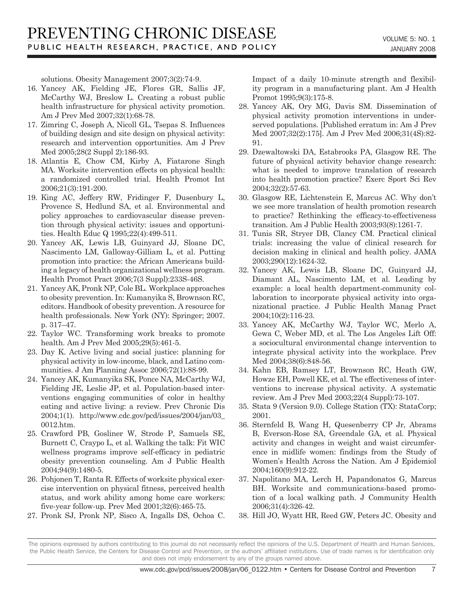solutions. Obesity Management 2007;3(2):74-9.

- 16. Yancey AK, Fielding JE, Flores GR, Sallis JF, McCarthy WJ, Breslow L. Creating a robust public health infrastructure for physical activity promotion. Am J Prev Med 2007;32(1):68-78.
- 17. Zimring C, Joseph A, Nicoll GL, Tsepas S. Influences of building design and site design on physical activity: research and intervention opportunities. Am J Prev Med 2005;28(2 Suppl 2):186-93.
- 18. Atlantis E, Chow CM, Kirby A, Fiatarone Singh MA. Worksite intervention effects on physical health: a randomized controlled trial. Health Promot Int 2006;21(3):191-200.
- 19. King AC, Jeffery RW, Fridinger F, Dusenbury L, Provence S, Hedlund SA, et al. Environmental and policy approaches to cardiovascular disease prevention through physical activity: issues and opportunities. Health Educ Q 1995;22(4):499-511.
- 20. Yancey AK, Lewis LB, Guinyard JJ, Sloane DC, Nascimento LM, Galloway-Gilliam L, et al. Putting promotion into practice: the African Americans building a legacy of health organizational wellness program. Health Promot Pract 2006;7(3 Suppl):233S-46S.
- 21. Yancey AK, Pronk NP, Cole BL. Workplace approaches to obesity prevention. In: Kumanyika S, Brownson RC, editors. Handbook of obesity prevention. A resource for health professionals. New York (NY): Springer; 2007. p. 317–47.
- 22. Taylor WC. Transforming work breaks to promote health. Am J Prev Med 2005;29(5):461-5.
- 23. Day K. Active living and social justice: planning for physical activity in low-income, black, and Latino communities. J Am Planning Assoc 2006;72(1):88-99.
- 24. Yancey AK, Kumanyika SK, Ponce NA, McCarthy WJ, Fielding JE, Leslie JP, et al. Population-based interventions engaging communities of color in healthy eating and active living: a review. Prev Chronic Dis 2004;1(1). http://www.cdc.gov/pcd/issues/2004/jan/03\_ 0012.htm.
- 25. Crawford PB, Gosliner W, Strode P, Samuels SE, Burnett C, Craypo L, et al. Walking the talk: Fit WIC wellness programs improve self-efficacy in pediatric obesity prevention counseling. Am J Public Health 2004;94(9):1480-5.
- 26. Pohjonen T, Ranta R. Effects of worksite physical exercise intervention on physical fitness, perceived health status, and work ability among home care workers: five-year follow-up. Prev Med 2001;32(6):465-75.
- 27. Pronk SJ, Pronk NP, Sisco A, Ingalls DS, Ochoa C.

Impact of a daily 10-minute strength and flexibility program in a manufacturing plant. Am J Health Promot 1995;9(3):175-8.

- 28. Yancey AK, Ory MG, Davis SM. Dissemination of physical activity promotion interventions in underserved populations. [Published erratum in: Am J Prev Med 2007;32(2):175]. Am J Prev Med 2006;31(4S):82- 91.
- 29. Dzewaltowski DA, Estabrooks PA, Glasgow RE. The future of physical activity behavior change research: what is needed to improve translation of research into health promotion practice? Exerc Sport Sci Rev 2004;32(2):57-63.
- 30. Glasgow RE, Lichtenstein E, Marcus AC. Why don't we see more translation of health promotion research to practice? Rethinking the efficacy-to-effectiveness transition. Am J Public Health 2003;93(8):1261-7.
- 31. Tunis SR, Stryer DB, Clancy CM. Practical clinical trials: increasing the value of clinical research for decision making in clinical and health policy. JAMA 2003;290(12):1624-32.
- 32. Yancey AK, Lewis LB, Sloane DC, Guinyard JJ, Diamant AL, Nascimento LM, et al. Leading by example: a local health department-community collaboration to incorporate physical activity into organizational practice. J Public Health Manag Pract 2004;10(2):116-23.
- 33. Yancey AK, McCarthy WJ, Taylor WC, Merlo A, Gewa C, Weber MD, et al. The Los Angeles Lift Off: a sociocultural environmental change intervention to integrate physical activity into the workplace. Prev Med 2004;38(6):848-56.
- 34. Kahn EB, Ramsey LT, Brownson RC, Heath GW, Howze EH, Powell KE, et al. The effectiveness of interventions to increase physical activity. A systematic review. Am J Prev Med 2003;22(4 Suppl):73-107.
- 35. Stata 9 (Version 9.0). College Station (TX): StataCorp; 2001.
- 36. Sternfeld B, Wang H, Quesenberry CP Jr, Abrams B, Everson-Rose SA, Greendale GA, et al. Physical activity and changes in weight and waist circumference in midlife women: findings from the Study of Women's Health Across the Nation. Am J Epidemiol 2004;160(9):912-22.
- 37. Napolitano MA, Lerch H, Papandonatos G, Marcus BH. Worksite and communications-based promotion of a local walking path. J Community Health 2006;31(4):326-42.
- 38. Hill JO, Wyatt HR, Reed GW, Peters JC. Obesity and

The opinions expressed by authors contributing to this journal do not necessarily reflect the opinions of the U.S. Department of Health and Human Services, the Public Health Service, the Centers for Disease Control and Prevention, or the authors' affiliated institutions. Use of trade names is for identification only and does not imply endorsement by any of the groups named above.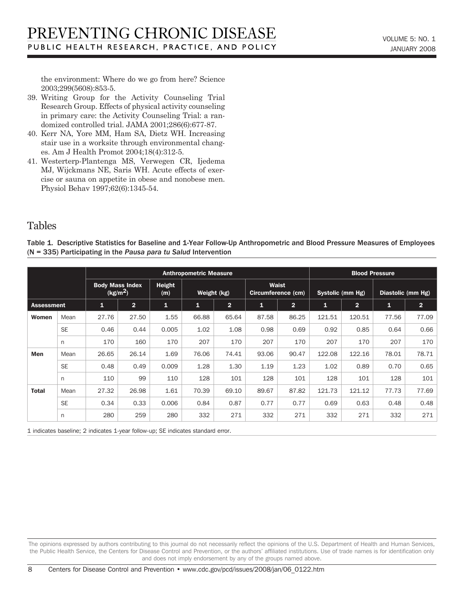the environment: Where do we go from here? Science 2003;299(5608):853-5.

- 39. Writing Group for the Activity Counseling Trial Research Group. Effects of physical activity counseling in primary care: the Activity Counseling Trial: a randomized controlled trial. JAMA 2001;286(6):677-87.
- 40. Kerr NA, Yore MM, Ham SA, Dietz WH. Increasing stair use in a worksite through environmental changes. Am J Health Promot 2004;18(4):312-5.
- 41. Westerterp-Plantenga MS, Verwegen CR, Ijedema MJ, Wijckmans NE, Saris WH. Acute effects of exercise or sauna on appetite in obese and nonobese men. Physiol Behav 1997;62(6):1345-54.

## Tables

Table 1. Descriptive Statistics for Baseline and 1-Year Follow-Up Anthropometric and Blood Pressure Measures of Employees (N = 335) Participating in the *Pausa para tu Salud* Intervention

|                   |           | <b>Anthropometric Measure</b>                  |                |               |              |                |                                    |                |                         | <b>Blood Pressure</b> |                   |                |  |
|-------------------|-----------|------------------------------------------------|----------------|---------------|--------------|----------------|------------------------------------|----------------|-------------------------|-----------------------|-------------------|----------------|--|
|                   |           | <b>Body Mass Index</b><br>(kg/m <sup>2</sup> ) |                | Height<br>(m) | Weight (kg)  |                | <b>Waist</b><br>Circumference (cm) |                | <b>Systolic (mm Hg)</b> |                       | Diastolic (mm Hg) |                |  |
| <b>Assessment</b> |           | $\mathbf{1}$                                   | $\overline{2}$ | $\mathbf{1}$  | $\mathbf{1}$ | 2 <sup>1</sup> | $\mathbf{1}$                       | $\overline{2}$ | $\mathbf{1}$            | $\overline{2}$        | $\mathbf{1}$      | $\overline{2}$ |  |
| Women             | Mean      | 27.76                                          | 27.50          | 1.55          | 66.88        | 65.64          | 87.58                              | 86.25          | 121.51                  | 120.51                | 77.56             | 77.09          |  |
|                   | <b>SE</b> | 0.46                                           | 0.44           | 0.005         | 1.02         | 1.08           | 0.98                               | 0.69           | 0.92                    | 0.85                  | 0.64              | 0.66           |  |
|                   | n         | 170                                            | 160            | 170           | 207          | 170            | 207                                | 170            | 207                     | 170                   | 207               | 170            |  |
| Men               | Mean      | 26.65                                          | 26.14          | 1.69          | 76.06        | 74.41          | 93.06                              | 90.47          | 122.08                  | 122.16                | 78.01             | 78.71          |  |
|                   | <b>SE</b> | 0.48                                           | 0.49           | 0.009         | 1.28         | 1.30           | 1.19                               | 1.23           | 1.02                    | 0.89                  | 0.70              | 0.65           |  |
|                   | n         | 110                                            | 99             | 110           | 128          | 101            | 128                                | 101            | 128                     | 101                   | 128               | 101            |  |
| <b>Total</b>      | Mean      | 27.32                                          | 26.98          | 1.61          | 70.39        | 69.10          | 89.67                              | 87.82          | 121.73                  | 121.12                | 77.73             | 77.69          |  |
|                   | <b>SE</b> | 0.34                                           | 0.33           | 0.006         | 0.84         | 0.87           | 0.77                               | 0.77           | 0.69                    | 0.63                  | 0.48              | 0.48           |  |
|                   | n         | 280                                            | 259            | 280           | 332          | 271            | 332                                | 271            | 332                     | 271                   | 332               | 271            |  |

1 indicates baseline; 2 indicates 1-year follow-up; SE indicates standard error.

The opinions expressed by authors contributing to this journal do not necessarily reflect the opinions of the U.S. Department of Health and Human Services, the Public Health Service, the Centers for Disease Control and Prevention, or the authors' affiliated institutions. Use of trade names is for identification only and does not imply endorsement by any of the groups named above.